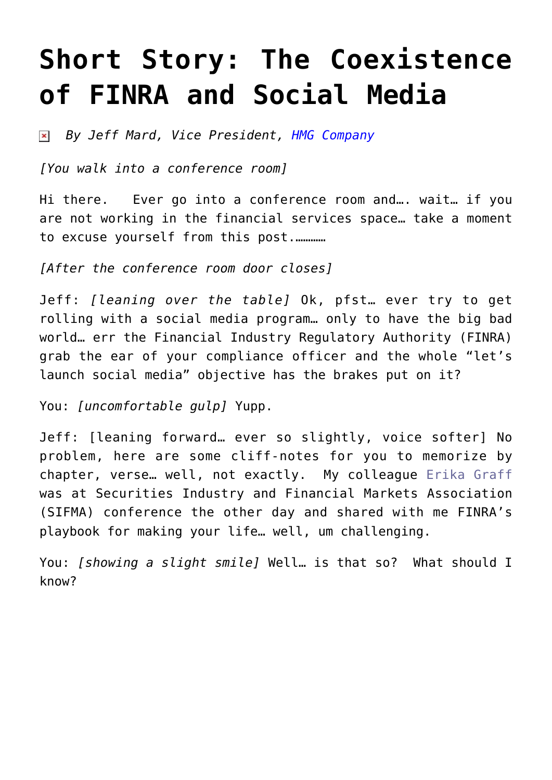## **[Short Story: The Coexistence](https://www.commpro.biz/short-story-the-coexistence-of-finra-and-social-media/) [of FINRA and Social Media](https://www.commpro.biz/short-story-the-coexistence-of-finra-and-social-media/)**

*By Jeff Mard, Vice President, [HMG Company](https://hmgcompany.com/)*

*[You walk into a conference room]*

Hi there. Ever go into a conference room and…. wait… if you are not working in the financial services space… take a moment to excuse yourself from this post.…………

*[After the conference room door closes]*

Jeff: *[leaning over the table]* Ok, pfst… ever try to get rolling with a social media program… only to have the big bad world… err the Financial Industry Regulatory Authority (FINRA) grab the ear of your compliance officer and the whole "let's launch social media" objective has the brakes put on it?

You: *[uncomfortable gulp]* Yupp.

Jeff: [leaning forward… ever so slightly, voice softer] No problem, here are some cliff-notes for you to memorize by chapter, verse… well, not exactly. My colleague [Erika Graff](https://www.linkedin.com/in/ekgraff) was at Securities Industry and Financial Markets Association (SIFMA) conference the other day and shared with me FINRA's playbook for making your life… well, um challenging.

You: *[showing a slight smile]* Well… is that so? What should I know?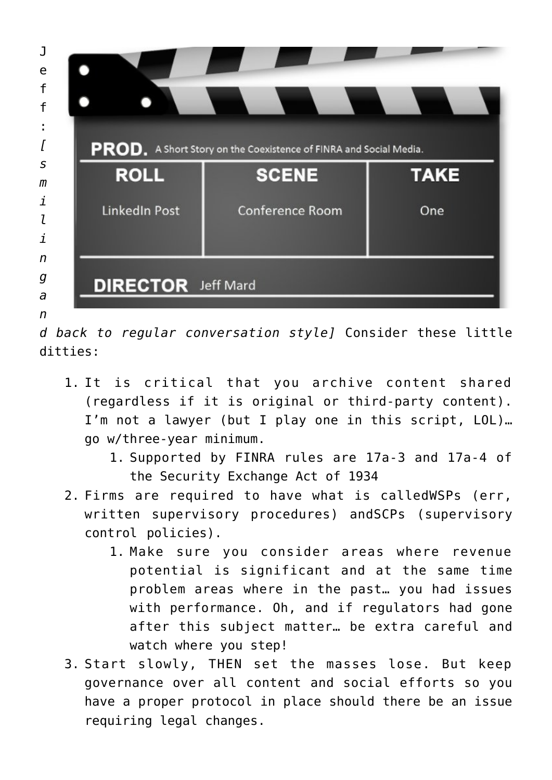

*d back to regular conversation style]* Consider these little ditties:

- 1. It is critical that you archive content shared (regardless if it is original or third-party content). I'm not a lawyer (but I play one in this script, LOL)… go w/three-year minimum.
	- 1. Supported by FINRA rules are 17a-3 and 17a-4 of the Security Exchange Act of 1934
- 2. Firms are required to have what is calledWSPs (err, written supervisory procedures) andSCPs (supervisory control policies).
	- 1. Make sure you consider areas where revenue potential is significant and at the same time problem areas where in the past… you had issues with performance. Oh, and if regulators had gone after this subject matter… be extra careful and watch where you step!
- 3. Start slowly, THEN set the masses lose. But keep governance over all content and social efforts so you have a proper protocol in place should there be an issue requiring legal changes.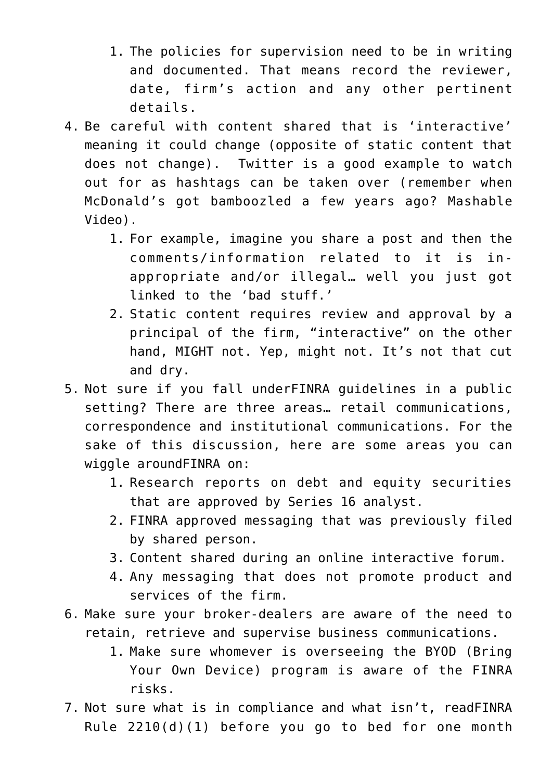- 1. The policies for supervision need to be in writing and documented. That means record the reviewer, date, firm's action and any other pertinent details.
- 4. Be careful with content shared that is 'interactive' meaning it could change (opposite of static content that does not change). Twitter is a good example to watch out for as hashtags can be taken over (remember when McDonald's got bamboozled a few years ago? [Mashable](https://www.youtube.com/watch?time_continue=1&v=JjnNoLduipU) [Video\)](https://www.youtube.com/watch?time_continue=1&v=JjnNoLduipU).
	- 1. For example, imagine you share a post and then the comments/information related to it is inappropriate and/or illegal… well you just got linked to the 'bad stuff.'
	- 2. Static content requires review and approval by a principal of the firm, "interactive" on the other hand, MIGHT not. Yep, might not. It's not that cut and dry.
- 5. Not sure if you fall underFINRA guidelines in a public setting? There are three areas… retail communications, correspondence and institutional communications. For the sake of this discussion, here are some areas you can wiggle aroundFINRA on:
	- 1. Research reports on debt and equity securities that are approved by Series 16 analyst.
	- 2. FINRA approved messaging that was previously filed by shared person.
	- 3. Content shared during an online interactive forum.
	- 4. Any messaging that does not promote product and services of the firm.
- 6. Make sure your broker-dealers are aware of the need to retain, retrieve and supervise business communications.
	- 1. Make sure whomever is overseeing the BYOD (Bring Your Own Device) program is aware of the FINRA risks.
- 7. Not sure what is in compliance and what isn't, readFINRA Rule 2210(d)(1) before you go to bed for one month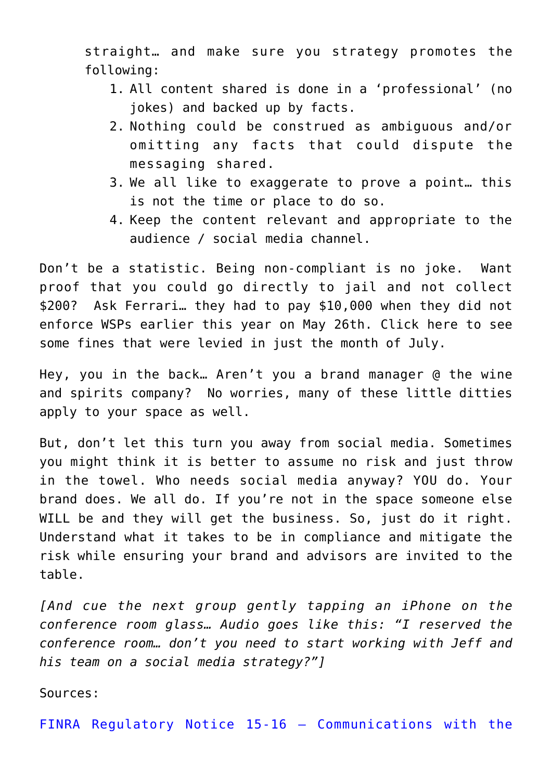straight… and make sure you strategy promotes the following:

- 1. All content shared is done in a 'professional' (no jokes) and backed up by facts.
- 2. Nothing could be construed as ambiguous and/or omitting any facts that could dispute the messaging shared.
- 3. We all like to exaggerate to prove a point… this is not the time or place to do so.
- 4. Keep the content relevant and appropriate to the audience / social media channel.

Don't be a statistic. Being non-compliant is no joke. Want proof that you could go directly to jail and not collect \$200? Ask Ferrari… they had to pay \$10,000 when they did not enforce WSPs earlier this year on May 26th. Click [here](https://www.finra.org/sites/default/files/publication_file/July_2015_Disciplinary_Actions.pdf.) to see some fines that were levied in just the month of July.

Hey, you in the back… Aren't you a brand manager @ the wine and spirits company? No worries, many of these little ditties apply to your space as well.

But, don't let this turn you away from social media. Sometimes you might think it is better to assume no risk and just throw in the towel. Who needs social media anyway? YOU do. Your brand does. We all do. If you're not in the space someone else WILL be and they will get the business. So, just do it right. Understand what it takes to be in compliance and mitigate the risk while ensuring your brand and advisors are invited to the table.

*[And cue the next group gently tapping an iPhone on the conference room glass… Audio goes like this: "I reserved the conference room… don't you need to start working with Jeff and his team on a social media strategy?"]*

Sources:

[FINRA Regulatory Notice 15-16 – Communications with the](https://www.finra.org/industry/notices/15-16)